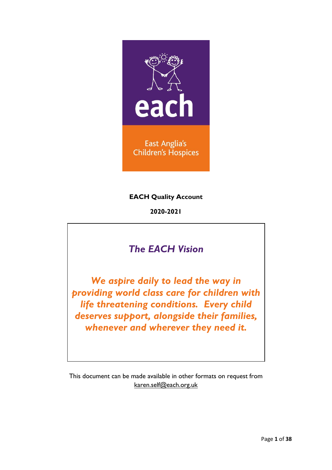

**EACH Quality Account**

**2020-2021**

# *The EACH Vision*

*We aspire daily to lead the way in providing world class care for children with life threatening conditions. Every child deserves support, alongside their families, whenever and wherever they need it.*

This document can be made available in other formats on request from [karen.self@each.org.uk](mailto:karen.self@each.org.uk)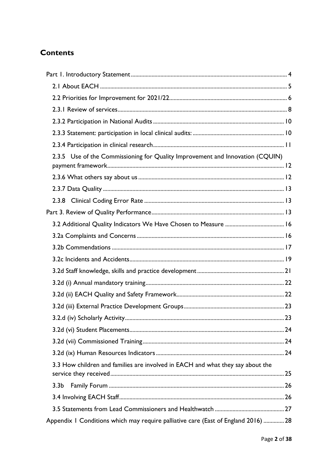## **Contents**

| 2.3.5 Use of the Commissioning for Quality Improvement and Innovation (CQUIN)      |        |
|------------------------------------------------------------------------------------|--------|
|                                                                                    |        |
|                                                                                    |        |
|                                                                                    |        |
|                                                                                    |        |
|                                                                                    |        |
|                                                                                    |        |
|                                                                                    |        |
|                                                                                    |        |
|                                                                                    |        |
|                                                                                    |        |
|                                                                                    |        |
|                                                                                    |        |
|                                                                                    | ……… 23 |
|                                                                                    |        |
|                                                                                    |        |
|                                                                                    |        |
| 3.3 How children and families are involved in EACH and what they say about the     |        |
| 3.3 <sub>b</sub>                                                                   |        |
|                                                                                    |        |
|                                                                                    |        |
| Appendix I Conditions which may require palliative care (East of England 2016)  28 |        |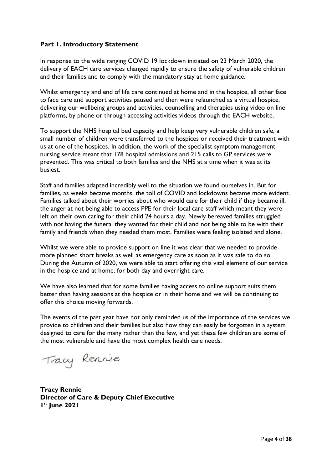### <span id="page-3-0"></span>**Part 1. Introductory Statement**

In response to the wide ranging COVID 19 lockdown initiated on 23 March 2020, the delivery of EACH care services changed rapidly to ensure the safety of vulnerable children and their families and to comply with the mandatory stay at home guidance.

Whilst emergency and end of life care continued at home and in the hospice, all other face to face care and support activities paused and then were relaunched as a virtual hospice, delivering our wellbeing groups and activities, counselling and therapies using video on line platforms, by phone or through accessing activities videos through the EACH website.

To support the NHS hospital bed capacity and help keep very vulnerable children safe, a small number of children were transferred to the hospices or received their treatment with us at one of the hospices. In addition, the work of the specialist symptom management nursing service meant that 178 hospital admissions and 215 calls to GP services were prevented. This was critical to both families and the NHS at a time when it was at its busiest.

Staff and families adapted incredibly well to the situation we found ourselves in. But for families, as weeks became months, the toll of COVID and lockdowns became more evident. Families talked about their worries about who would care for their child if they became ill, the anger at not being able to access PPE for their local care staff which meant they were left on their own caring for their child 24 hours a day. Newly bereaved families struggled with not having the funeral they wanted for their child and not being able to be with their family and friends when they needed them most. Families were feeling isolated and alone.

Whilst we were able to provide support on line it was clear that we needed to provide more planned short breaks as well as emergency care as soon as it was safe to do so. During the Autumn of 2020, we were able to start offering this vital element of our service in the hospice and at home, for both day and overnight care.

We have also learned that for some families having access to online support suits them better than having sessions at the hospice or in their home and we will be continuing to offer this choice moving forwards.

The events of the past year have not only reminded us of the importance of the services we provide to children and their families but also how they can easily be forgotten in a system designed to care for the many rather than the few, and yet these few children are some of the most vulnerable and have the most complex health care needs.

Tracy Renrie

**Tracy Rennie Director of Care & Deputy Chief Executive 1 st June 2021**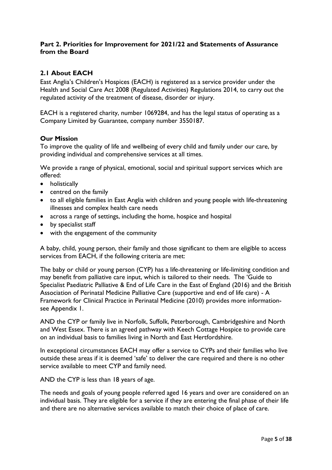### **Part 2. Priorities for Improvement for 2021/22 and Statements of Assurance from the Board**

## <span id="page-4-0"></span>**2.1 About EACH**

East Anglia's Children's Hospices (EACH) is registered as a service provider under the Health and Social Care Act 2008 (Regulated Activities) Regulations 2014, to carry out the regulated activity of the treatment of disease, disorder or injury.

EACH is a registered charity, number 1069284, and has the legal status of operating as a Company Limited by Guarantee, company number 3550187.

#### **Our Mission**

To improve the quality of life and wellbeing of every child and family under our care, by providing individual and comprehensive services at all times.

We provide a range of physical, emotional, social and spiritual support services which are offered:

- holistically
- centred on the family
- to all eligible families in East Anglia with children and young people with life-threatening illnesses and complex health care needs
- across a range of settings, including the home, hospice and hospital
- by specialist staff
- with the engagement of the community

A baby, child, young person, their family and those significant to them are eligible to access services from EACH, if the following criteria are met:

The baby or child or young person (CYP) has a life-threatening or life-limiting condition and may benefit from palliative care input, which is tailored to their needs. The 'Guide to Specialist Paediatric Palliative & End of Life Care in the East of England (2016) and the British Association of Perinatal Medicine Palliative Care (supportive and end of life care) - A Framework for Clinical Practice in Perinatal Medicine (2010) provides more informationsee Appendix 1.

AND the CYP or family live in Norfolk, Suffolk, Peterborough, Cambridgeshire and North and West Essex. There is an agreed pathway with Keech Cottage Hospice to provide care on an individual basis to families living in North and East Hertfordshire.

In exceptional circumstances EACH may offer a service to CYPs and their families who live outside these areas if it is deemed 'safe' to deliver the care required and there is no other service available to meet CYP and family need.

AND the CYP is less than 18 years of age.

The needs and goals of young people referred aged 16 years and over are considered on an individual basis. They are eligible for a service if they are entering the final phase of their life and there are no alternative services available to match their choice of place of care.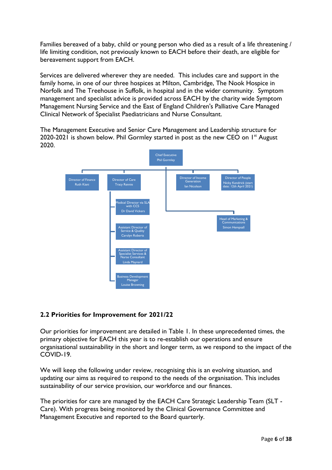Families bereaved of a baby, child or young person who died as a result of a life threatening / life limiting condition, not previously known to EACH before their death, are eligible for bereavement support from EACH.

Services are delivered wherever they are needed. This includes care and support in the family home, in one of our three hospices at Milton, Cambridge, The Nook Hospice in Norfolk and The Treehouse in Suffolk, in hospital and in the wider community. Symptom management and specialist advice is provided across EACH by the charity wide Symptom Management Nursing Service and the East of England Children's Palliative Care Managed Clinical Network of Specialist Paediatricians and Nurse Consultant.

The Management Executive and Senior Care Management and Leadership structure for 2020-2021 is shown below. Phil Gormley started in post as the new CEO on  $I<sup>st</sup>$  August 2020.



## <span id="page-5-0"></span>**2.2 Priorities for Improvement for 2021/22**

Our priorities for improvement are detailed in Table 1. In these unprecedented times, the primary objective for EACH this year is to re-establish our operations and ensure organisational sustainability in the short and longer term, as we respond to the impact of the COVID-19.

We will keep the following under review, recognising this is an evolving situation, and updating our aims as required to respond to the needs of the organisation. This includes sustainability of our service provision, our workforce and our finances.

The priorities for care are managed by the EACH Care Strategic Leadership Team (SLT - Care). With progress being monitored by the Clinical Governance Committee and Management Executive and reported to the Board quarterly.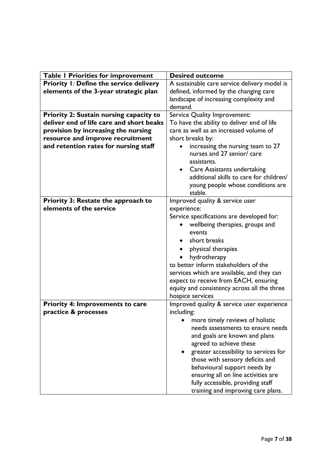| Table I Priorities for improvement         | <b>Desired outcome</b>                       |
|--------------------------------------------|----------------------------------------------|
| Priority I: Define the service delivery    | A sustainable care service delivery model is |
| elements of the 3-year strategic plan      | defined, informed by the changing care       |
|                                            | landscape of increasing complexity and       |
|                                            | demand.                                      |
| Priority 2: Sustain nursing capacity to    | Service Quality Improvement:                 |
| deliver end of life care and short beaks   | To have the ability to deliver end of life   |
| provision by increasing the nursing        | care as well as an increased volume of       |
| resource and improve recruitment           | short breaks by:                             |
| and retention rates for nursing staff      | increasing the nursing team to 27            |
|                                            | nurses and 27 senior/ care                   |
|                                            | assistants.                                  |
|                                            | Care Assistants undertaking<br>$\bullet$     |
|                                            | additional skills to care for children/      |
|                                            | young people whose conditions are            |
|                                            | stable.                                      |
| <b>Priority 3: Restate the approach to</b> | Improved quality & service user              |
| elements of the service                    | experience:                                  |
|                                            | Service specifications are developed for:    |
|                                            | wellbeing therapies, groups and              |
|                                            | events                                       |
|                                            | short breaks                                 |
|                                            | physical therapies                           |
|                                            | hydrotherapy                                 |
|                                            | to better inform stakeholders of the         |
|                                            | services which are available, and they can   |
|                                            | expect to receive from EACH, ensuring        |
|                                            | equity and consistency across all the three  |
|                                            | hospice services                             |
| <b>Priority 4: Improvements to care</b>    | Improved quality & service user experience   |
| practice & processes                       | including:                                   |
|                                            | more timely reviews of holistic              |
|                                            | needs assessments to ensure needs            |
|                                            | and goals are known and plans                |
|                                            | agreed to achieve these                      |
|                                            | greater accessibility to services for        |
|                                            | those with sensory deficits and              |
|                                            | behavioural support needs by                 |
|                                            | ensuring all on line activities are          |
|                                            | fully accessible, providing staff            |
|                                            | training and improving care plans.           |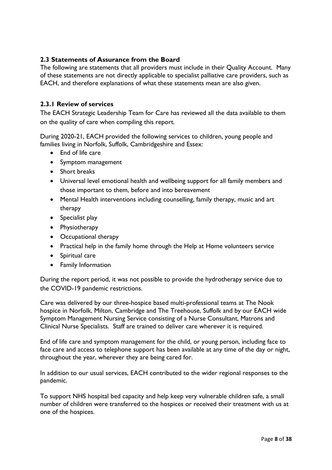## **2.3 Statements of Assurance from the Board**

The following are statements that all providers must include in their Quality Account. Many of these statements are not directly applicable to specialist palliative care providers, such as EACH, and therefore explanations of what these statements mean are also given.

## <span id="page-7-0"></span>**2.3.1 Review of services**

The EACH Strategic Leadership Team for Care has reviewed all the data available to them on the quality of care when compiling this report.

During 2020-21, EACH provided the following services to children, young people and families living in Norfolk, Suffolk, Cambridgeshire and Essex:

- End of life care
- Symptom management
- Short breaks
- Universal level emotional health and wellbeing support for all family members and those important to them, before and into bereavement
- Mental Health interventions including counselling, family therapy, music and art therapy
- Specialist play
- Physiotherapy
- Occupational therapy
- Practical help in the family home through the Help at Home volunteers service
- Spiritual care
- Family Information

During the report period, it was not possible to provide the hydrotherapy service due to the COVID-19 pandemic restrictions.

Care was delivered by our three-hospice based multi-professional teams at The Nook hospice in Norfolk, Milton, Cambridge and The Treehouse, Suffolk and by our EACH wide Symptom Management Nursing Service consisting of a Nurse Consultant, Matrons and Clinical Nurse Specialists. Staff are trained to deliver care wherever it is required.

End of life care and symptom management for the child, or young person, including face to face care and access to telephone support has been available at any time of the day or night, throughout the year, wherever they are being cared for.

In addition to our usual services, EACH contributed to the wider regional responses to the pandemic.

To support NHS hospital bed capacity and help keep very vulnerable children safe, a small number of children were transferred to the hospices or received their treatment with us at one of the hospices.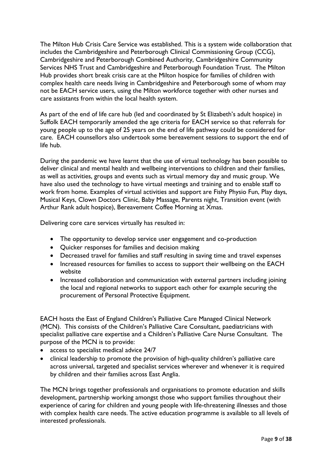The Milton Hub Crisis Care Service was established. This is a system wide collaboration that includes the Cambridgeshire and Peterborough Clinical Commissioning Group (CCG), Cambridgeshire and Peterborough Combined Authority, Cambridgeshire Community Services NHS Trust and Cambridgeshire and Peterborough Foundation Trust. The Milton Hub provides short break crisis care at the Milton hospice for families of children with complex health care needs living in Cambridgeshire and Peterborough some of whom may not be EACH service users, using the Milton workforce together with other nurses and care assistants from within the local health system.

As part of the end of life care hub (led and coordinated by St Elizabeth's adult hospice) in Suffolk EACH temporarily amended the age criteria for EACH service so that referrals for young people up to the age of 25 years on the end of life pathway could be considered for care. EACH counsellors also undertook some bereavement sessions to support the end of life hub.

During the pandemic we have learnt that the use of virtual technology has been possible to deliver clinical and mental health and wellbeing interventions to children and their families, as well as activities, groups and events such as virtual memory day and music group. We have also used the technology to have virtual meetings and training and to enable staff to work from home. Examples of virtual activities and support are Fishy Physio Fun, Play days, Musical Keys, Clown Doctors Clinic, Baby Massage, Parents night, Transition event (with Arthur Rank adult hospice), Bereavement Coffee Morning at Xmas.

Delivering core care services virtually has resulted in:

- The opportunity to develop service user engagement and co-production
- Quicker responses for families and decision making
- Decreased travel for families and staff resulting in saving time and travel expenses
- Increased resources for families to access to support their wellbeing on the EACH website
- Increased collaboration and communication with external partners including joining the local and regional networks to support each other for example securing the procurement of Personal Protective Equipment.

EACH hosts the East of England Children's Palliative Care Managed Clinical Network (MCN). This consists of the Children's Palliative Care Consultant, paediatricians with specialist palliative care expertise and a Children's Palliative Care Nurse Consultant. The purpose of the MCN is to provide:

- access to specialist medical advice 24/7
- clinical leadership to promote the provision of high-quality children's palliative care across universal, targeted and specialist services wherever and whenever it is required by children and their families across East Anglia.

The MCN brings together professionals and organisations to promote education and skills development, partnership working amongst those who support families throughout their experience of caring for children and young people with life-threatening illnesses and those with complex health care needs. The active education programme is available to all levels of interested professionals.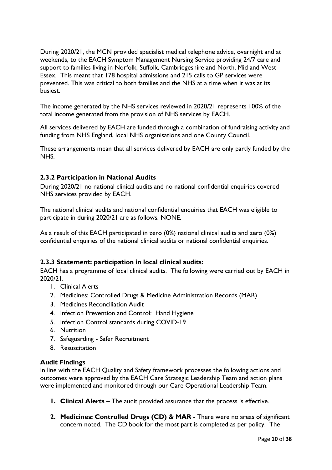During 2020/21, the MCN provided specialist medical telephone advice, overnight and at weekends, to the EACH Symptom Management Nursing Service providing 24/7 care and support to families living in Norfolk, Suffolk, Cambridgeshire and North, Mid and West Essex. This meant that 178 hospital admissions and 215 calls to GP services were prevented. This was critical to both families and the NHS at a time when it was at its busiest.

The income generated by the NHS services reviewed in 2020/21 represents 100% of the total income generated from the provision of NHS services by EACH.

All services delivered by EACH are funded through a combination of fundraising activity and funding from NHS England, local NHS organisations and one County Council.

These arrangements mean that all services delivered by EACH are only partly funded by the NHS.

#### <span id="page-9-0"></span>**2.3.2 Participation in National Audits**

During 2020/21 no national clinical audits and no national confidential enquiries covered NHS services provided by EACH.

The national clinical audits and national confidential enquiries that EACH was eligible to participate in during 2020/21 are as follows: NONE.

As a result of this EACH participated in zero (0%) national clinical audits and zero (0%) confidential enquiries of the national clinical audits or national confidential enquiries.

#### <span id="page-9-1"></span>**2.3.3 Statement: participation in local clinical audits:**

EACH has a programme of local clinical audits. The following were carried out by EACH in 2020/21.

- 1. Clinical Alerts
- 2. Medicines: Controlled Drugs & Medicine Administration Records (MAR)
- 3. Medicines Reconciliation Audit
- 4. Infection Prevention and Control: Hand Hygiene
- 5. Infection Control standards during COVID-19
- 6. Nutrition
- 7. Safeguarding Safer Recruitment
- 8. Resuscitation

#### **Audit Findings**

In line with the EACH Quality and Safety framework processes the following actions and outcomes were approved by the EACH Care Strategic Leadership Team and action plans were implemented and monitored through our Care Operational Leadership Team.

- **1. Clinical Alerts –** The audit provided assurance that the process is effective.
- **2. Medicines: Controlled Drugs (CD) & MAR -** There were no areas of significant concern noted. The CD book for the most part is completed as per policy. The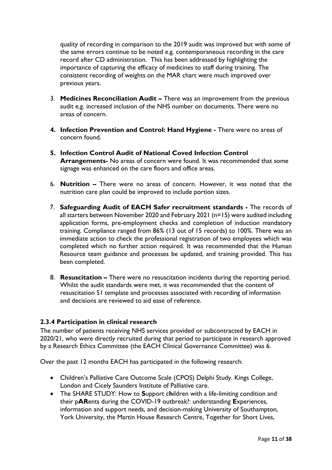quality of recording in comparison to the 2019 audit was improved but with some of the same errors continue to be noted e.g. contemporaneous recording in the care record after CD administration. This has been addressed by highlighting the importance of capturing the efficacy of medicines to staff during training. The consistent recording of weights on the MAR chart were much improved over previous years.

- 3. **Medicines Reconciliation Audit –** There was an improvement from the previous audit e.g. increased inclusion of the NHS number on documents. There were no areas of concern.
- **4. Infection Prevention and Control: Hand Hygiene -** There were no areas of concern found.
- **5. Infection Control Audit of National Coved Infection Control Arrangements-** No areas of concern were found. It was recommended that some signage was enhanced on the care floors and office areas.
- 6. **Nutrition –** There were no areas of concern. However, it was noted that the nutrition care plan could be improved to include portion sizes.
- 7. **Safeguarding Audit of EACH Safer recruitment standards -** The records of all starters between November 2020 and February 2021 (n=15) were audited including application forms, pre-employment checks and completion of induction mandatory training. Compliance ranged from 86% (13 out of 15 records) to 100%. There was an immediate action to check the professional registration of two employees which was completed which no further action required. It was recommended that the Human Resource team guidance and processes be updated, and training provided. This has been completed.
- 8. **Resuscitation –** There were no resuscitation incidents during the reporting period. Whilst the audit standards were met, it was recommended that the content of resuscitation S1 template and processes associated with recording of information and decisions are reviewed to aid ease of reference.

## <span id="page-10-0"></span>**2.3.4 Participation in clinical research**

The number of patients receiving NHS services provided or subcontracted by EACH in 2020/21, who were directly recruited during that period to participate in research approved by a Research Ethics Committee (the EACH Clinical Governance Committee) was 6.

Over the past 12 months EACH has participated in the following research:

- Children's Palliative Care Outcome Scale (CPOS) Delphi Study. Kings College, London and Cicely Saunders Institute of Palliative care.
- The SHARE STUDY: How to **S**upport c**h**ildren with a life-limiting condition and their p**AR**ents during the COVID-19 outbreak?: understanding **E**xperiences, information and support needs, and decision-making University of Southampton, York University, the Martin House Research Centre, Together for Short Lives,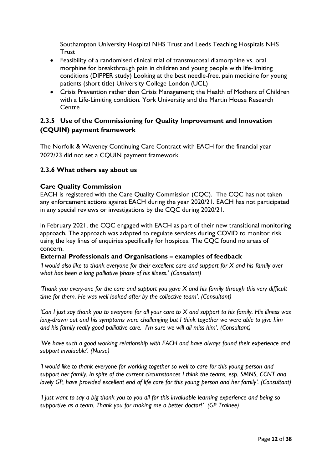Southampton University Hospital NHS Trust and Leeds Teaching Hospitals NHS **Trust** 

- Feasibility of a randomised clinical trial of transmucosal diamorphine vs. oral morphine for breakthrough pain in children and young people with life-limiting conditions (DIPPER study) Looking at the best needle-free, pain medicine for young patients (short title) University College London (UCL)
- Crisis Prevention rather than Crisis Management; the Health of Mothers of Children with a Life-Limiting condition. York University and the Martin House Research **Centre**

## <span id="page-11-0"></span>**2.3.5 Use of the Commissioning for Quality Improvement and Innovation (CQUIN) payment framework**

The Norfolk & Waveney Continuing Care Contract with EACH for the financial year 2022/23 did not set a CQUIN payment framework.

## <span id="page-11-1"></span>**2.3.6 What others say about us**

## **Care Quality Commission**

EACH is registered with the Care Quality Commission (CQC). The CQC has not taken any enforcement actions against EACH during the year 2020/21. EACH has not participated in any special reviews or investigations by the CQC during 2020/21.

In February 2021, the CQC engaged with EACH as part of their new transitional monitoring approach, The approach was adapted to regulate services during COVID to monitor risk using the key lines of enquiries specifically for hospices. The CQC found no areas of concern.

#### **External Professionals and Organisations – examples of feedback**

*'I would also like to thank everyone for their excellent care and support for X and his family over what has been a long palliative phase of his illness.' (Consultant)* 

*'Thank you every-one for the care and support you gave X and his family through this very difficult time for them. He was well looked after by the collective team'. (Consultant)*

*'Can I just say thank you to everyone for all your care to X and support to his family. His illness was long-drawn out and his symptoms were challenging but I think together we were able to give him and his family really good palliative care. I'm sure we will all miss him'. (Consultant)*

*'We have such a good working relationship with EACH and have always found their experience and support invaluable'. (Nurse)* 

*'I would like to thank everyone for working together so well to care for this young person and support her family. In spite of the current circumstances I think the teams, esp. SMNS, CCNT and lovely GP, have provided excellent end of life care for this young person and her family'. (Consultant)*

*'I just want to say a big thank you to you all for this invaluable learning experience and being so supportive as a team. Thank you for making me a better doctor!' (GP Trainee)*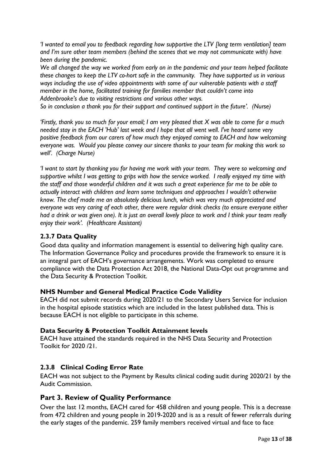*'I wanted to email you to feedback regarding how supportive the LTV [long term ventilation] team and I'm sure other team members (behind the scenes that we may not communicate with) have been during the pandemic.* 

*We all changed the way we worked from early on in the pandemic and your team helped facilitate these changes to keep the LTV co-hort safe in the community. They have supported us in various ways including the use of video appointments with some of our vulnerable patients with a staff member in the home, facilitated training for families member that couldn't come into Addenbrooke's due to visiting restrictions and various other ways.* 

*So in conclusion a thank you for their support and continued support in the future'. (Nurse)*

*'Firstly, thank you so much for your email; I am very pleased that X was able to come for a much needed stay in the EACH 'Hub' last week and I hope that all went well. I've heard some very positive feedback from our carers of how much they enjoyed coming to EACH and how welcoming everyone was. Would you please convey our sincere thanks to your team for making this work so well'. (Charge Nurse)*

*'I want to start by thanking you for having me work with your team. They were so welcoming and supportive whilst I was getting to grips with how the service worked. I really enjoyed my time with the staff and those wonderful children and it was such a great experience for me to be able to actually interact with children and learn some techniques and approaches I wouldn't otherwise know. The chef made me an absolutely delicious lunch, which was very much appreciated and everyone was very caring of each other, there were regular drink checks (to ensure everyone either had a drink or was given one). It is just an overall lovely place to work and I think your team really enjoy their work'. (Healthcare Assistant)*

## <span id="page-12-0"></span>**2.3.7 Data Quality**

Good data quality and information management is essential to delivering high quality care. The Information Governance Policy and procedures provide the framework to ensure it is an integral part of EACH's governance arrangements. Work was completed to ensure compliance with the Data Protection Act 2018, the National Data-Opt out programme and the Data Security & Protection Toolkit.

## **NHS Number and General Medical Practice Code Validity**

EACH did not submit records during 2020/21 to the Secondary Users Service for inclusion in the hospital episode statistics which are included in the latest published data. This is because EACH is not eligible to participate in this scheme.

## **Data Security & Protection Toolkit Attainment levels**

EACH have attained the standards required in the NHS Data Security and Protection Toolkit for 2020 /21.

## <span id="page-12-1"></span>**2.3.8 Clinical Coding Error Rate**

EACH was not subject to the Payment by Results clinical coding audit during 2020/21 by the Audit Commission.

## <span id="page-12-2"></span>**Part 3. Review of Quality Performance**

Over the last 12 months, EACH cared for 458 children and young people. This is a decrease from 472 children and young people in 2019-2020 and is as a result of fewer referrals during the early stages of the pandemic. 259 family members received virtual and face to face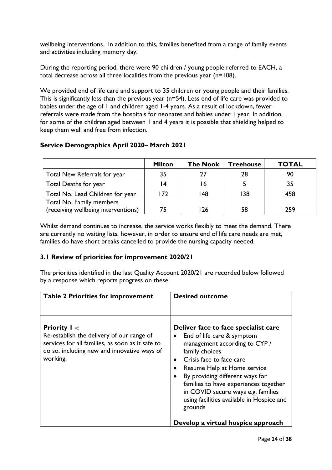wellbeing interventions. In addition to this, families benefited from a range of family events and activities including memory day.

During the reporting period, there were 90 children / young people referred to EACH, a total decrease across all three localities from the previous year (n=108).

We provided end of life care and support to 35 children or young people and their families. This is significantly less than the previous year (n=54). Less end of life care was provided to babies under the age of 1 and children aged 1-4 years. As a result of lockdown, fewer referrals were made from the hospitals for neonates and babies under 1 year. In addition, for some of the children aged between 1 and 4 years it is possible that shielding helped to keep them well and free from infection.

## **Service Demographics April 2020– March 2021**

|                                     | <b>Milton</b>   | <b>The Nook</b> | <b>Treehouse</b> | <b>TOTAL</b> |
|-------------------------------------|-----------------|-----------------|------------------|--------------|
| Total New Referrals for year        | 35              | 27              | 28               | 90           |
| Total Deaths for year               |                 | 6               |                  | 35           |
| Total No. Lead Children for year    | $\overline{72}$ | 148             | 38               | 458          |
| Total No. Family members            |                 |                 |                  |              |
| (receiving wellbeing interventions) |                 | 26              | 58               | 259          |

Whilst demand continues to increase, the service works flexibly to meet the demand. There are currently no waiting lists, however, in order to ensure end of life care needs are met, families do have short breaks cancelled to provide the nursing capacity needed.

## **3.1 Review of priorities for improvement 2020/21**

The priorities identified in the last Quality Account 2020/21 are recorded below followed by a response which reports progress on these.

| <b>Table 2 Priorities for improvement</b>                                                                                                                                        | <b>Desired outcome</b>                                                                                                                                                                                                                                                                                                                                                  |
|----------------------------------------------------------------------------------------------------------------------------------------------------------------------------------|-------------------------------------------------------------------------------------------------------------------------------------------------------------------------------------------------------------------------------------------------------------------------------------------------------------------------------------------------------------------------|
| <b>Priority I -:</b><br>Re-establish the delivery of our range of<br>services for all families, as soon as it safe to<br>do so, including new and innovative ways of<br>working. | Deliver face to face specialist care<br>End of life care & symptom<br>management according to CYP /<br>family choices<br>Crisis face to face care<br>$\bullet$<br>Resume Help at Home service<br>By providing different ways for<br>families to have experiences together<br>in COVID secure ways e.g. families<br>using facilities available in Hospice and<br>grounds |
|                                                                                                                                                                                  | Develop a virtual hospice approach                                                                                                                                                                                                                                                                                                                                      |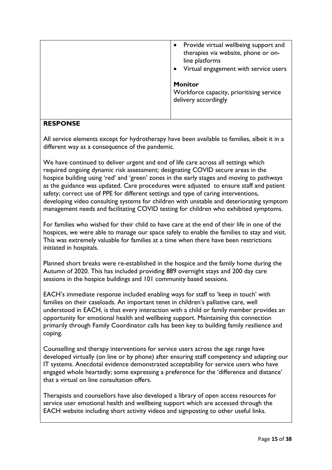| Provide virtual wellbeing support and<br>$\bullet$<br>therapies via website, phone or on-<br>line platforms<br>Virtual engagement with service users |
|------------------------------------------------------------------------------------------------------------------------------------------------------|
| <b>Monitor</b><br>Workforce capacity, prioritising service<br>delivery accordingly                                                                   |

## **RESPONSE**

All service elements except for hydrotherapy have been available to families, albeit it in a different way as a consequence of the pandemic.

We have continued to deliver urgent and end of life care across all settings which required ongoing dynamic risk assessment; designating COVID secure areas in the hospice building using 'red' and 'green' zones in the early stages and moving to pathways as the guidance was updated. Care procedures were adjusted to ensure staff and patient safety; correct use of PPE for different settings and type of caring interventions, developing video consulting systems for children with unstable and deteriorating symptom management needs and facilitating COVID testing for children who exhibited symptoms.

For families who wished for their child to have care at the end of their life in one of the hospices, we were able to manage our space safely to enable the families to stay and visit. This was extremely valuable for families at a time when there have been restrictions initiated in hospitals.

Planned short breaks were re-established in the hospice and the family home during the Autumn of 2020. This has included providing 889 overnight stays and 200 day care sessions in the hospice buildings and 101 community based sessions.

EACH's immediate response included enabling ways for staff to 'keep in touch' with families on their caseloads. An important tenet in children's palliative care, well understood in EACH, is that every interaction with a child or family member provides an opportunity for emotional health and wellbeing support. Maintaining this connection primarily through Family Coordinator calls has been key to building family resilience and coping.

Counselling and therapy interventions for service users across the age range have developed virtually (on line or by phone) after ensuring staff competency and adapting our IT systems. Anecdotal evidence demonstrated acceptability for service users who have engaged whole heartedly; some expressing a preference for the 'difference and distance' that a virtual on line consultation offers.

Therapists and counsellors have also developed a library of open access resources for service user emotional health and wellbeing support which are accessed through the EACH website including short activity videos and signposting to other useful links.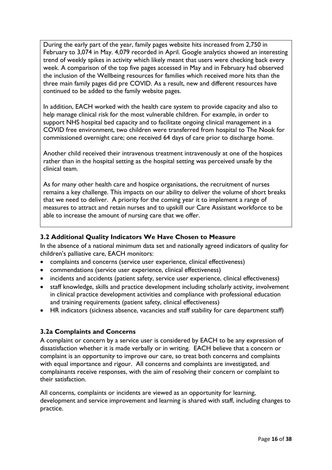During the early part of the year, family pages website hits increased from 2,750 in February to 3,074 in May. 4,079 recorded in April. Google analytics showed an interesting trend of weekly spikes in activity which likely meant that users were checking back every week. A comparison of the top five pages accessed in May and in February had observed the inclusion of the Wellbeing resources for families which received more hits than the three main family pages did pre COVID. As a result, new and different resources have continued to be added to the family website pages.

In addition, EACH worked with the health care system to provide capacity and also to help manage clinical risk for the most vulnerable children. For example, in order to support NHS hospital bed capacity and to facilitate ongoing clinical management in a COVID free environment, two children were transferred from hospital to The Nook for commissioned overnight care; one received 64 days of care prior to discharge home.

Another child received their intravenous treatment intravenously at one of the hospices rather than in the hospital setting as the hospital setting was perceived unsafe by the clinical team.

As for many other health care and hospice organisations, the recruitment of nurses remains a key challenge. This impacts on our ability to deliver the volume of short breaks that we need to deliver. A priority for the coming year it to implement a range of measures to attract and retain nurses and to upskill our Care Assistant workforce to be able to increase the amount of nursing care that we offer.

## <span id="page-15-0"></span>**3.2 Additional Quality Indicators We Have Chosen to Measure**

In the absence of a national minimum data set and nationally agreed indicators of quality for children's palliative care, EACH monitors:

- complaints and concerns (service user experience, clinical effectiveness)
- commendations (service user experience, clinical effectiveness)
- incidents and accidents (patient safety, service user experience, clinical effectiveness)
- staff knowledge, skills and practice development including scholarly activity, involvement in clinical practice development activities and compliance with professional education and training requirements (patient safety, clinical effectiveness)
- HR indicators (sickness absence, vacancies and staff stability for care department staff)

## <span id="page-15-1"></span>**3.2a Complaints and Concerns**

A complaint or concern by a service user is considered by EACH to be any expression of dissatisfaction whether it is made verbally or in writing. EACH believe that a concern or complaint is an opportunity to improve our care, so treat both concerns and complaints with equal importance and rigour. All concerns and complaints are investigated, and complainants receive responses, with the aim of resolving their concern or complaint to their satisfaction.

All concerns, complaints or incidents are viewed as an opportunity for learning, development and service improvement and learning is shared with staff, including changes to practice.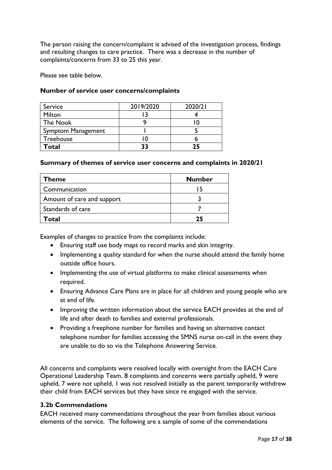The person raising the concern/complaint is advised of the investigation process, findings and resulting changes to care practice. There was a decrease in the number of complaints/concerns from 33 to 25 this year.

Please see table below.

#### **Number of service user concerns/complaints**

| Service            | 2019/2020 | 2020/21 |
|--------------------|-----------|---------|
| Milton             |           |         |
| The Nook           |           |         |
| Symptom Management |           |         |
| Treehouse          |           |         |
| Total              | 22        | 25      |

#### **Summary of themes of service user concerns and complaints in 2020/21**

| <b>Theme</b>               | <b>Number</b> |
|----------------------------|---------------|
| Communication              |               |
| Amount of care and support |               |
| Standards of care          |               |
| Total                      |               |

Examples of changes to practice from the complaints include:

- Ensuring staff use body maps to record marks and skin integrity.
- Implementing a quality standard for when the nurse should attend the family home outside office hours.
- Implementing the use of virtual platforms to make clinical assessments when required.
- Ensuring Advance Care Plans are in place for all children and young people who are at end of life.
- Improving the written information about the service EACH provides at the end of life and after death to families and external professionals.
- Providing a freephone number for families and having an alternative contact telephone number for families accessing the SMNS nurse on-call in the event they are unable to do so via the Telephone Answering Service.

All concerns and complaints were resolved locally with oversight from the EACH Care Operational Leadership Team. 8 complaints and concerns were partially upheld, 9 were upheld, 7 were not upheld, 1 was not resolved initially as the parent temporarily withdrew their child from EACH services but they have since re engaged with the service.

#### <span id="page-16-0"></span>**3.2b Commendations**

EACH received many commendations throughout the year from families about various elements of the service. The following are a sample of some of the commendations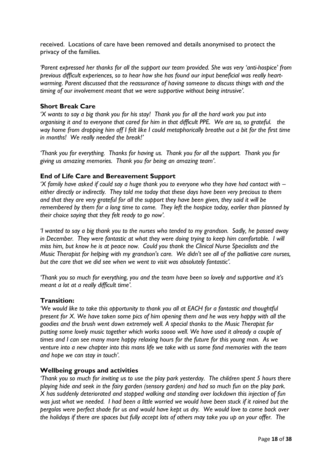received. Locations of care have been removed and details anonymised to protect the privacy of the families.

*'Parent expressed her thanks for all the support our team provided. She was very 'anti-hospice' from previous difficult experiences, so to hear how she has found our input beneficial was really heartwarming. Parent discussed that the reassurance of having someone to discuss things with and the timing of our involvement meant that we were supportive without being intrusive'.* 

#### **Short Break Care**

*'X wants to say a big thank you for his stay! Thank you for all the hard work you put into organising it and to everyone that cared for him in that difficult PPE. We are so, so grateful. the way home from dropping him off I felt like I could metaphorically breathe out a bit for the first time in months! We really needed the break!'*

*'Thank you for everything. Thanks for having us. Thank you for all the support. Thank you for giving us amazing memories. Thank you for being an amazing team'*.

#### **End of Life Care and Bereavement Support**

*'X family have asked if could say a huge thank you to everyone who they have had contact with – either directly or indirectly. They told me today that these days have been very precious to them and that they are very grateful for all the support they have been given, they said it will be remembered by them for a long time to come. They left the hospice today, earlier than planned by their choice saying that they felt ready to go now'.*

*'I wanted to say a big thank you to the nurses who tended to my grandson. Sadly, he passed away*  in December. They were fantastic at what they were doing trying to keep him comfortable. I will *miss him, but know he is at peace now. Could you thank the Clinical Nurse Specialists and the Music Therapist for helping with my grandson's care. We didn't see all of the palliative care nurses, but the care that we did see when we went to visit was absolutely fantastic'.* 

*'Thank you so much for everything, you and the team have been so lovely and supportive and it's meant a lot at a really difficult time'.* 

#### **Transition:**

*'We would like to take this opportunity to thank you all at EACH for a fantastic and thoughtful present for X. We have taken some pics of him opening them and he was very happy with all the goodies and the brush went down extremely well. A special thanks to the Music Therapist for putting some lovely music together which works soooo well. We have used it already a couple of times and I can see many more happy relaxing hours for the future for this young man. As we venture into a new chapter into this mans life we take with us some fond memories with the team and hope we can stay in touch'.* 

#### **Wellbeing groups and activities**

*'Thank you so much for inviting us to use the play park yesterday. The children spent 5 hours there playing hide and seek in the fairy garden (sensory garden) and had so much fun on the play park. X has suddenly deteriorated and stopped walking and standing over lockdown this injection of fun was just what we needed. I had been a little worried we would have been stuck if it rained but the pergolas were perfect shade for us and would have kept us dry. We would love to come back over the holidays if there are spaces but fully accept lots of others may take you up on your offer. The*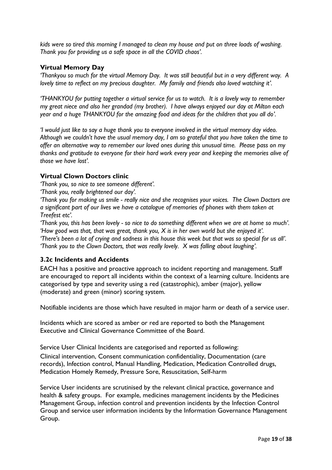*kids were so tired this morning I managed to clean my house and put on three loads of washing. Thank you for providing us a safe space in all the COVID chaos'.*

#### **Virtual Memory Day**

*'Thankyou so much for the virtual Memory Day. It was still beautiful but in a very different way. A lovely time to reflect on my precious daughter. My family and friends also loved watching it'.*

*'THANKYOU for putting together a virtual service for us to watch. It is a lovely way to remember my great niece and also her grandad (my brother). I have always enjoyed our day at Milton each year and a huge THANKYOU for the amazing food and ideas for the children that you all do'.* 

*'I would just like to say a huge thank you to everyone involved in the virtual memory day video. Although we couldn't have the usual memory day, I am so grateful that you have taken the time to offer an alternative way to remember our loved ones during this unusual time. Please pass on my thanks and gratitude to everyone for their hard work every year and keeping the memories alive of those we have lost'.* 

#### **Virtual Clown Doctors clinic**

*'Thank you, so nice to see someone different'.*

*'Thank you, really brightened our day'.*

*'Thank you for making us smile - really nice and she recognises your voices. The Clown Doctors are a significant part of our lives we have a catalogue of memories of phones with them taken at Treefest etc'.*

*'Thank you, this has been lovely - so nice to do something different when we are at home so much'. 'How good was that, that was great, thank you, X is in her own world but she enjoyed it'. 'There's been a lot of crying and sadness in this house this week but that was so special for us all'. 'Thank you to the Clown Doctors, that was really lovely. X was falling about laughing'.*

#### <span id="page-18-0"></span>**3.2c Incidents and Accidents**

EACH has a positive and proactive approach to incident reporting and management. Staff are encouraged to report all incidents within the context of a learning culture. Incidents are categorised by type and severity using a red (catastrophic), amber (major), yellow (moderate) and green (minor) scoring system.

Notifiable incidents are those which have resulted in major harm or death of a service user.

Incidents which are scored as amber or red are reported to both the Management Executive and Clinical Governance Committee of the Board.

Service User Clinical Incidents are categorised and reported as following:

Clinical intervention, Consent communication confidentiality, Documentation (care records), Infection control, Manual Handling, Medication, Medication Controlled drugs, Medication Homely Remedy, Pressure Sore, Resuscitation, Self-harm

Service User incidents are scrutinised by the relevant clinical practice, governance and health & safety groups. For example, medicines management incidents by the Medicines Management Group, infection control and prevention incidents by the Infection Control Group and service user information incidents by the Information Governance Management Group.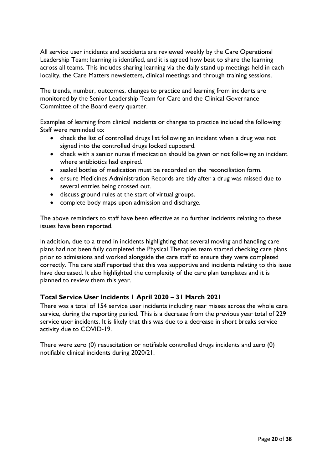All service user incidents and accidents are reviewed weekly by the Care Operational Leadership Team; learning is identified, and it is agreed how best to share the learning across all teams. This includes sharing learning via the daily stand up meetings held in each locality, the Care Matters newsletters, clinical meetings and through training sessions.

The trends, number, outcomes, changes to practice and learning from incidents are monitored by the Senior Leadership Team for Care and the Clinical Governance Committee of the Board every quarter.

Examples of learning from clinical incidents or changes to practice included the following: Staff were reminded to:

- check the list of controlled drugs list following an incident when a drug was not signed into the controlled drugs locked cupboard.
- check with a senior nurse if medication should be given or not following an incident where antibiotics had expired.
- sealed bottles of medication must be recorded on the reconciliation form.
- ensure Medicines Administration Records are tidy after a drug was missed due to several entries being crossed out.
- discuss ground rules at the start of virtual groups.
- complete body maps upon admission and discharge.

The above reminders to staff have been effective as no further incidents relating to these issues have been reported.

In addition, due to a trend in incidents highlighting that several moving and handling care plans had not been fully completed the Physical Therapies team started checking care plans prior to admissions and worked alongside the care staff to ensure they were completed correctly. The care staff reported that this was supportive and incidents relating to this issue have decreased. It also highlighted the complexity of the care plan templates and it is planned to review them this year.

## **Total Service User Incidents 1 April 2020 – 31 March 2021**

There was a total of 154 service user incidents including near misses across the whole care service, during the reporting period. This is a decrease from the previous year total of 229 service user incidents. It is likely that this was due to a decrease in short breaks service activity due to COVID-19.

There were zero (0) resuscitation or notifiable controlled drugs incidents and zero (0) notifiable clinical incidents during 2020/21.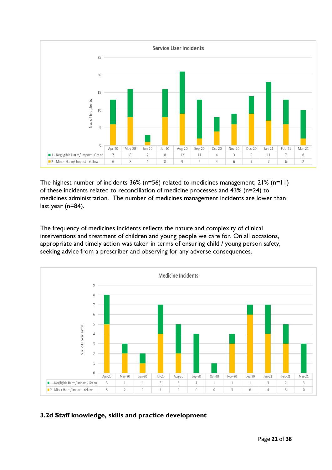

The highest number of incidents 36% (n=56) related to medicines management; 21% (n=11) of these incidents related to reconciliation of medicine processes and 43% (n=24) to medicines administration. The number of medicines management incidents are lower than last year (n=84).

The frequency of medicines incidents reflects the nature and complexity of clinical interventions and treatment of children and young people we care for. On all occasions, appropriate and timely action was taken in terms of ensuring child / young person safety, seeking advice from a prescriber and observing for any adverse consequences.



## <span id="page-20-0"></span>**3.2d Staff knowledge, skills and practice development**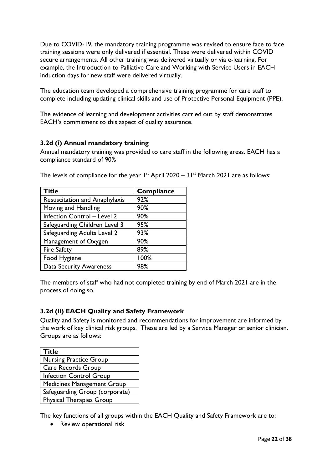Due to COVID-19, the mandatory training programme was revised to ensure face to face training sessions were only delivered if essential. These were delivered within COVID secure arrangements. All other training was delivered virtually or via e-learning. For example, the Introduction to Palliative Care and Working with Service Users in EACH induction days for new staff were delivered virtually.

The education team developed a comprehensive training programme for care staff to complete including updating clinical skills and use of Protective Personal Equipment (PPE).

The evidence of learning and development activities carried out by staff demonstrates EACH's commitment to this aspect of quality assurance.

## <span id="page-21-0"></span>**3.2d (i) Annual mandatory training**

Annual mandatory training was provided to care staff in the following areas. EACH has a compliance standard of 90%

| <b>Title</b>                         | Compliance |
|--------------------------------------|------------|
| <b>Resuscitation and Anaphylaxis</b> | 92%        |
| Moving and Handling                  | 90%        |
| <b>Infection Control - Level 2</b>   | 90%        |
| Safeguarding Children Level 3        | 95%        |
| Safeguarding Adults Level 2          | 93%        |
| Management of Oxygen                 | 90%        |
| <b>Fire Safety</b>                   | 89%        |
| Food Hygiene                         | 100%       |
| <b>Data Security Awareness</b>       | 98%        |

The levels of compliance for the year  $1^{st}$  April 2020 – 31 $^{st}$  March 2021 are as follows:

The members of staff who had not completed training by end of March 2021 are in the process of doing so.

## <span id="page-21-1"></span>**3.2d (ii) EACH Quality and Safety Framework**

Quality and Safety is monitored and recommendations for improvement are informed by the work of key clinical risk groups. These are led by a Service Manager or senior clinician. Groups are as follows:

| <b>Title</b>                      |
|-----------------------------------|
| <b>Nursing Practice Group</b>     |
| <b>Care Records Group</b>         |
| <b>Infection Control Group</b>    |
| <b>Medicines Management Group</b> |
| Safeguarding Group (corporate)    |
| <b>Physical Therapies Group</b>   |

The key functions of all groups within the EACH Quality and Safety Framework are to:

• Review operational risk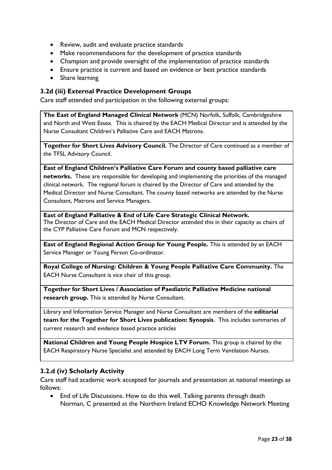- Review, audit and evaluate practice standards
- Make recommendations for the development of practice standards
- Champion and provide oversight of the implementation of practice standards
- Ensure practice is current and based on evidence or best practice standards
- Share learning

#### <span id="page-22-0"></span>**3.2d (iii) External Practice Development Groups**

Care staff attended and participation in the following external groups:

**The East of England Managed Clinical Network** (MCN) Norfolk, Suffolk, Cambridgeshire and North and West Essex. This is chaired by the EACH Medical Director and is attended by the Nurse Consultant Children's Palliative Care and EACH Matrons.

**Together for Short Lives Advisory Council.** The Director of Care continued as a member of the TFSL Advisory Council.

**East of England Children's Palliative Care Forum and county based palliative care networks.** These are responsible for developing and implementing the priorities of the managed clinical network. The regional forum is chaired by the Director of Care and attended by the Medical Director and Nurse Consultant. The county based networks are attended by the Nurse Consultant, Matrons and Service Managers.

**East of England Palliative & End of Life Care Strategic Clinical Network.** The Director of Care and the EACH Medical Director attended this in their capacity as chairs of the CYP Palliative Care Forum and MCN respectively.

**East of England Regional Action Group for Young People.** This is attended by an EACH Service Manager or Young Person Co-ordinator.

**Royal College of Nursing: Children & Young People Palliative Care Community.** The EACH Nurse Consultant is vice chair of this group.

**Together for Short Lives / Association of Paediatric Palliative Medicine national research group.** This is attended by Nurse Consultant.

Library and Information Service Manager and Nurse Consultant are members of the **editorial team for the Together for Short Lives publication: Synopsis**. This includes summaries of current research and evidence based practice articles

**National Children and Young People Hospice LTV Forum.** This group is chaired by the EACH Respiratory Nurse Specialist and attended by EACH Long Term Ventilation Nurses.

#### <span id="page-22-1"></span>**3.2.d (iv) Scholarly Activity**

Care staff had academic work accepted for journals and presentation at national meetings as follows:

• End of Life Discussions. How to do this well. Talking parents through death Norman, C presented at the Northern Ireland ECHO Knowledge Network Meeting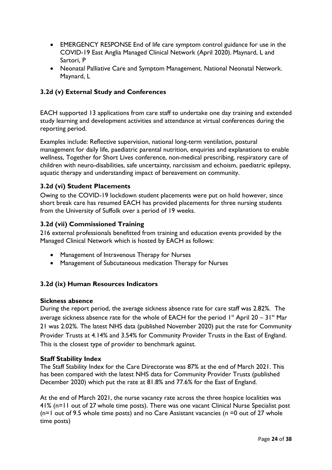- EMERGENCY RESPONSE End of life care symptom control guidance for use in the COVID-19 East Anglia Managed Clinical Network (April 2020). Maynard, L and Sartori, P
- Neonatal Palliative Care and Symptom Management. National Neonatal Network. Maynard, L

## **3.2d (v) External Study and Conferences**

EACH supported 13 applications from care staff to undertake one day training and extended study learning and development activities and attendance at virtual conferences during the reporting period.

Examples include: Reflective supervision, national long-term ventilation, postural management for daily life, paediatric parental nutrition, enquiries and explanations to enable wellness, Together for Short Lives conference, non-medical prescribing, respiratory care of children with neuro-disabilities, safe uncertainty, narcissism and echoism, paediatric epilepsy, aquatic therapy and understanding impact of bereavement on community.

## <span id="page-23-0"></span>**3.2d (vi) Student Placements**

Owing to the COVID-19 lockdown student placements were put on hold however, since short break care has resumed EACH has provided placements for three nursing students from the University of Suffolk over a period of 19 weeks.

#### <span id="page-23-1"></span>**3.2d (vii) Commissioned Training**

216 external professionals benefitted from training and education events provided by the Managed Clinical Network which is hosted by EACH as follows:

- Management of Intravenous Therapy for Nurses
- Management of Subcutaneous medication Therapy for Nurses

## <span id="page-23-2"></span>**3.2d (ix) Human Resources Indicators**

#### **Sickness absence**

During the report period, the average sickness absence rate for care staff was 2.82%. The average sickness absence rate for the whole of EACH for the period  $1^{st}$  April 20 – 31 $^{st}$  Mar 21 was 2.02%. The latest NHS data (published November 2020) put the rate for Community Provider Trusts at 4.14% and 3.54% for Community Provider Trusts in the East of England. This is the closest type of provider to benchmark against.

#### **Staff Stability Index**

The Staff Stability Index for the Care Directorate was 87% at the end of March 2021. This has been compared with the latest NHS data for Community Provider Trusts (published December 2020) which put the rate at 81.8% and 77.6% for the East of England.

At the end of March 2021, the nurse vacancy rate across the three hospice localities was 41% (n=11 out of 27 whole time posts). There was one vacant Clinical Nurse Specialist post  $(n=1)$  out of 9.5 whole time posts) and no Care Assistant vacancies (n =0 out of 27 whole time posts)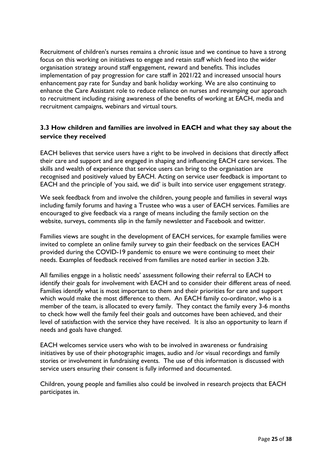Recruitment of children's nurses remains a chronic issue and we continue to have a strong focus on this working on initiatives to engage and retain staff which feed into the wider organisation strategy around staff engagement, reward and benefits. This includes implementation of pay progression for care staff in 2021/22 and increased unsocial hours enhancement pay rate for Sunday and bank holiday working. We are also continuing to enhance the Care Assistant role to reduce reliance on nurses and revamping our approach to recruitment including raising awareness of the benefits of working at EACH, media and recruitment campaigns, webinars and virtual tours.

## <span id="page-24-0"></span>**3.3 How children and families are involved in EACH and what they say about the service they received**

EACH believes that service users have a right to be involved in decisions that directly affect their care and support and are engaged in shaping and influencing EACH care services. The skills and wealth of experience that service users can bring to the organisation are recognised and positively valued by EACH. Acting on service user feedback is important to EACH and the principle of 'you said, we did' is built into service user engagement strategy.

We seek feedback from and involve the children, young people and families in several ways including family forums and having a Trustee who was a user of EACH services. Families are encouraged to give feedback via a range of means including the family section on the website, surveys, comments slip in the family newsletter and Facebook and twitter.

Families views are sought in the development of EACH services, for example families were invited to complete an online family survey to gain their feedback on the services EACH provided during the COVID-19 pandemic to ensure we were continuing to meet their needs. Examples of feedback received from families are noted earlier in section 3.2b.

All families engage in a holistic needs' assessment following their referral to EACH to identify their goals for involvement with EACH and to consider their different areas of need. Families identify what is most important to them and their priorities for care and support which would make the most difference to them. An EACH family co-ordinator, who is a member of the team, is allocated to every family. They contact the family every 3-6 months to check how well the family feel their goals and outcomes have been achieved, and their level of satisfaction with the service they have received. It is also an opportunity to learn if needs and goals have changed.

EACH welcomes service users who wish to be involved in awareness or fundraising initiatives by use of their photographic images, audio and /or visual recordings and family stories or involvement in fundraising events. The use of this information is discussed with service users ensuring their consent is fully informed and documented.

Children, young people and families also could be involved in research projects that EACH participates in.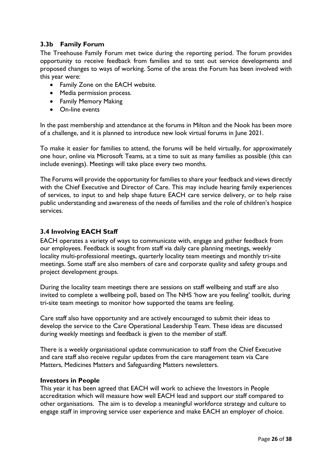## <span id="page-25-0"></span>**3.3b Family Forum**

The Treehouse Family Forum met twice during the reporting period. The forum provides opportunity to receive feedback from families and to test out service developments and proposed changes to ways of working. Some of the areas the Forum has been involved with this year were:

- Family Zone on the EACH website.
- Media permission process.
- Family Memory Making
- On-line events

In the past membership and attendance at the forums in Milton and the Nook has been more of a challenge, and it is planned to introduce new look virtual forums in June 2021.

To make it easier for families to attend, the forums will be held virtually, for approximately one hour, online via Microsoft Teams, at a time to suit as many families as possible (this can include evenings). Meetings will take place every two months.

The Forums will provide the opportunity for families to share your feedback and views directly with the Chief Executive and Director of Care. This may include hearing family experiences of services, to input to and help shape future EACH care service delivery, or to help raise public understanding and awareness of the needs of families and the role of children's hospice services.

#### <span id="page-25-1"></span>**3.4 Involving EACH Staff**

EACH operates a variety of ways to communicate with, engage and gather feedback from our employees. Feedback is sought from staff via daily care planning meetings, weekly locality multi-professional meetings, quarterly locality team meetings and monthly tri-site meetings. Some staff are also members of care and corporate quality and safety groups and project development groups.

During the locality team meetings there are sessions on staff wellbeing and staff are also invited to complete a wellbeing poll, based on The NHS 'how are you feeling' toolkit, during tri-site team meetings to monitor how supported the teams are feeling.

Care staff also have opportunity and are actively encouraged to submit their ideas to develop the service to the Care Operational Leadership Team. These ideas are discussed during weekly meetings and feedback is given to the member of staff.

There is a weekly organisational update communication to staff from the Chief Executive and care staff also receive regular updates from the care management team via Care Matters, Medicines Matters and Safeguarding Matters newsletters.

#### **Investors in People**

This year it has been agreed that EACH will work to achieve the Investors in People accreditation which will measure how well EACH lead and support our staff compared to other organisations. The aim is to develop a meaningful workforce strategy and culture to engage staff in improving service user experience and make EACH an employer of choice.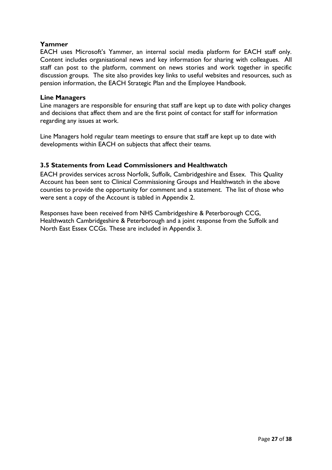## **Yammer**

EACH uses Microsoft's Yammer, an internal social media platform for EACH staff only. Content includes organisational news and key information for sharing with colleagues. All staff can post to the platform, comment on news stories and work together in specific discussion groups. The site also provides key links to useful websites and resources, such as pension information, the EACH Strategic Plan and the Employee Handbook.

#### **Line Managers**

Line managers are responsible for ensuring that staff are kept up to date with policy changes and decisions that affect them and are the first point of contact for staff for information regarding any issues at work.

Line Managers hold regular team meetings to ensure that staff are kept up to date with developments within EACH on subjects that affect their teams.

## <span id="page-26-0"></span>**3.5 Statements from Lead Commissioners and Healthwatch**

EACH provides services across Norfolk, Suffolk, Cambridgeshire and Essex. This Quality Account has been sent to Clinical Commissioning Groups and Healthwatch in the above counties to provide the opportunity for comment and a statement. The list of those who were sent a copy of the Account is tabled in Appendix 2.

Responses have been received from NHS Cambridgeshire & Peterborough CCG, Healthwatch Cambridgeshire & Peterborough and a joint response from the Suffolk and North East Essex CCGs. These are included in Appendix 3.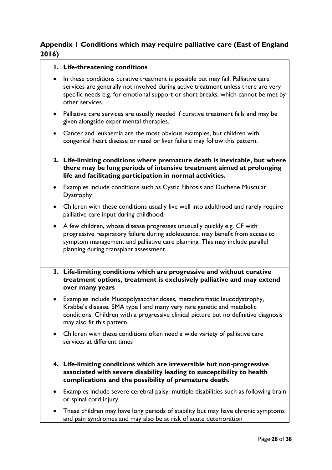## <span id="page-27-0"></span>**Appendix 1 Conditions which may require palliative care (East of England 2016)**

## **1. Life-threatening conditions**

- In these conditions curative treatment is possible but may fail. Palliative care services are generally not involved during active treatment unless there are very specific needs e.g. for emotional support or short breaks, which cannot be met by other services.
- Palliative care services are usually needed if curative treatment fails and may be given alongside experimental therapies.
- Cancer and leukaemia are the most obvious examples, but children with congenital heart disease or renal or liver failure may follow this pattern.
- **2. Life-limiting conditions where premature death is inevitable, but where there may be long periods of intensive treatment aimed at prolonging life and facilitating participation in normal activities.**
- Examples include conditions such as Cystic Fibrosis and Duchene Muscular Dystrophy
- Children with these conditions usually live well into adulthood and rarely require palliative care input during childhood.
- A few children, whose disease progresses unusually quickly e.g. CF with progressive respiratory failure during adolescence, may benefit from access to symptom management and palliative care planning. This may include parallel planning during transplant assessment.
- **3. Life-limiting conditions which are progressive and without curative treatment options, treatment is exclusively palliative and may extend over many years**
- Examples include Mucopolysaccharidoses, metachromatic leucodystrophy, Krabbe's disease, SMA type I and many very rare genetic and metabolic conditions. Children with a progressive clinical picture but no definitive diagnosis may also fit this pattern.
- Children with these conditions often need a wide variety of palliative care services at different times
- **4. Life-limiting conditions which are irreversible but non-progressive associated with severe disability leading to susceptibility to health complications and the possibility of premature death.**
- Examples include severe cerebral palsy, multiple disabilities such as following brain or spinal cord injury
- These children may have long periods of stability but may have chronic symptoms and pain syndromes and may also be at risk of acute deterioration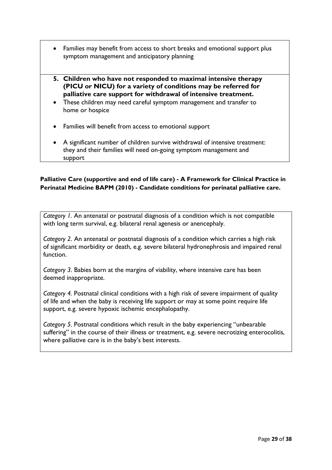- Families may benefit from access to short breaks and emotional support plus symptom management and anticipatory planning
- **5. Children who have not responded to maximal intensive therapy (PICU or NICU) for a variety of conditions may be referred for palliative care support for withdrawal of intensive treatment.**
- These children may need careful symptom management and transfer to home or hospice
- Families will benefit from access to emotional support
- A significant number of children survive withdrawal of intensive treatment: they and their families will need on-going symptom management and support

### **Palliative Care (supportive and end of life care) - A Framework for Clinical Practice in Perinatal Medicine BAPM (2010) - Candidate conditions for perinatal palliative care.**

*Category 1.* An antenatal or postnatal diagnosis of a condition which is not compatible with long term survival, e.g. bilateral renal agenesis or anencephaly.

*Category 2*. An antenatal or postnatal diagnosis of a condition which carries a high risk of significant morbidity or death, e.g. severe bilateral hydronephrosis and impaired renal function.

*Category 3*. Babies born at the margins of viability, where intensive care has been deemed inappropriate.

*Category 4.* Postnatal clinical conditions with a high risk of severe impairment of quality of life and when the baby is receiving life support or may at some point require life support, e.g. severe hypoxic ischemic encephalopathy.

*Category 5.* Postnatal conditions which result in the baby experiencing "unbearable suffering" in the course of their illness or treatment, e.g. severe necrotizing enterocolitis, where palliative care is in the baby's best interests.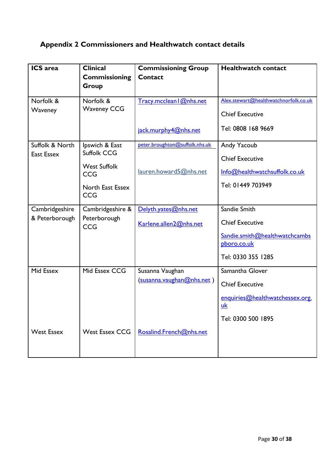## <span id="page-29-0"></span>**Appendix 2 Commissioners and Healthwatch contact details**

| <b>ICS</b> area                      | <b>Clinical</b><br><b>Commissioning</b><br>Group                                                            | <b>Commissioning Group</b><br>Contact                                   | <b>Healthwatch contact</b>                                                                                   |
|--------------------------------------|-------------------------------------------------------------------------------------------------------------|-------------------------------------------------------------------------|--------------------------------------------------------------------------------------------------------------|
| Norfolk &<br>Waveney                 | Norfolk &<br><b>Waveney CCG</b>                                                                             | Tracy.mcclean   @nhs.net<br>jack.murphy4@nhs.net                        | Alex.stewart@healthwatchnorfolk.co.uk<br><b>Chief Executive</b><br>Tel: 0808 168 9669                        |
| Suffolk & North<br><b>East Essex</b> | Ipswich & East<br><b>Suffolk CCG</b><br><b>West Suffolk</b><br><b>CCG</b><br>North East Essex<br><b>CCG</b> | peter.broughton@suffolk.nhs.uk<br>lauren.howard5@nhs.net                | Andy Yacoub<br><b>Chief Executive</b><br>Info@healthwatchsuffolk.co.uk<br>Tel: 01449 703949                  |
| Cambridgeshire<br>& Peterborough     | Cambridgeshire &<br>Peterborough<br><b>CCG</b>                                                              | Delyth.yates@nhs.net<br>Karlene.allen2@nhs.net                          | Sandie Smith<br><b>Chief Executive</b><br>Sandie.smith@healthwatchcambs<br>pboro.co.uk<br>Tel: 0330 355 1285 |
| Mid Essex<br><b>West Essex</b>       | Mid Essex CCG<br><b>West Essex CCG</b>                                                                      | Susanna Vaughan<br>(susanna.vaughan@nhs.net)<br>Rosalind.French@nhs.net | Samantha Glover<br><b>Chief Executive</b><br>enquiries@healthwatchessex.org.<br>uk<br>Tel: 0300 500 1895     |
|                                      |                                                                                                             |                                                                         |                                                                                                              |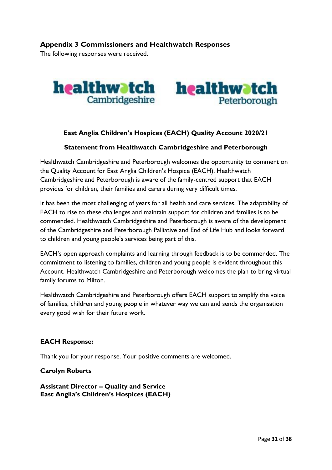## <span id="page-30-0"></span>**Appendix 3 Commissioners and Healthwatch Responses**

The following responses were received.



## **East Anglia Children's Hospices (EACH) Quality Account 2020/21**

#### **Statement from Healthwatch Cambridgeshire and Peterborough**

Healthwatch Cambridgeshire and Peterborough welcomes the opportunity to comment on the Quality Account for East Anglia Children's Hospice (EACH). Healthwatch Cambridgeshire and Peterborough is aware of the family-centred support that EACH provides for children, their families and carers during very difficult times.

It has been the most challenging of years for all health and care services. The adaptability of EACH to rise to these challenges and maintain support for children and families is to be commended. Healthwatch Cambridgeshire and Peterborough is aware of the development of the Cambridgeshire and Peterborough Palliative and End of Life Hub and looks forward to children and young people's services being part of this.

EACH's open approach complaints and learning through feedback is to be commended. The commitment to listening to families, children and young people is evident throughout this Account. Healthwatch Cambridgeshire and Peterborough welcomes the plan to bring virtual family forums to Milton.

Healthwatch Cambridgeshire and Peterborough offers EACH support to amplify the voice of families, children and young people in whatever way we can and sends the organisation every good wish for their future work.

#### **EACH Response:**

Thank you for your response. Your positive comments are welcomed.

**Carolyn Roberts**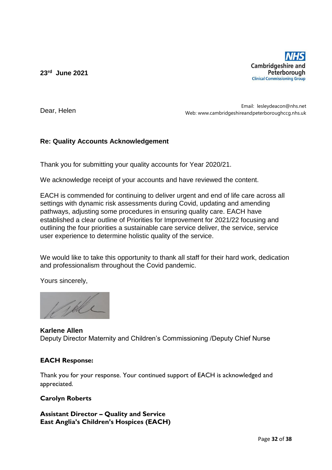**23rd June 2021**



Dear, Helen

Email: lesleydeacon@nhs.net Web: www.cambridgeshireandpeterboroughccg.nhs.uk

## **Re: Quality Accounts Acknowledgement**

Thank you for submitting your quality accounts for Year 2020/21.

We acknowledge receipt of your accounts and have reviewed the content.

EACH is commended for continuing to deliver urgent and end of life care across all settings with dynamic risk assessments during Covid, updating and amending pathways, adjusting some procedures in ensuring quality care. EACH have established a clear outline of Priorities for Improvement for 2021/22 focusing and outlining the four priorities a sustainable care service deliver, the service, service user experience to determine holistic quality of the service.

We would like to take this opportunity to thank all staff for their hard work, dedication and professionalism throughout the Covid pandemic.

Yours sincerely,

**Karlene Allen**  Deputy Director Maternity and Children's Commissioning /Deputy Chief Nurse

## **EACH Response:**

Thank you for your response. Your continued support of EACH is acknowledged and appreciated.

## **Carolyn Roberts**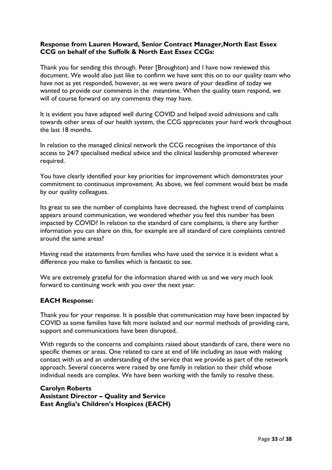## **Response from Lauren Howard, Senior Contract Manager,North East Essex CCG on behalf of the Suffolk & North East Essex CCGs:**

Thank you for sending this through. Peter [Broughton) and I have now reviewed this document. We would also just like to confirm we have sent this on to our quality team who have not as yet responded, however, as we were aware of your deadline of today we wanted to provide our comments in the meantime. When the quality team respond, we will of course forward on any comments they may have.

It is evident you have adapted well during COVID and helped avoid admissions and calls towards other areas of our health system, the CCG appreciates your hard work throughout the last 18 months.

In relation to the managed clinical network the CCG recognises the importance of this access to 24/7 specialised medical advice and the clinical leadership promoted wherever required.

You have clearly identified your key priorities for improvement which demonstrates your commitment to continuous improvement. As above, we feel comment would best be made by our quality colleagues.

Its great to see the number of complaints have decreased, the highest trend of complaints appears around communication, we wondered whether you feel this number has been impacted by COVID? In relation to the standard of care complaints, is there any further information you can share on this, for example are all standard of care complaints centred around the same areas?

Having read the statements from families who have used the service it is evident what a difference you make to families which is fantastic to see.

We are extremely grateful for the information shared with us and we very much look forward to continuing work with you over the next year.

#### **EACH Response:**

Thank you for your response. It is possible that communication may have been impacted by COVID as some families have felt more isolated and our normal methods of providing care, support and communications have been disrupted.

With regards to the concerns and complaints raised about standards of care, there were no specific themes or areas. One related to care at end of life including an issue with making contact with us and an understanding of the service that we provide as part of the network approach. Several concerns were raised by one family in relation to their child whose individual needs are complex. We have been working with the family to resolve these.

#### **Carolyn Roberts**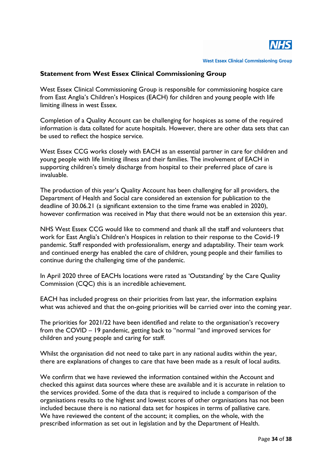

**West Essex Clinical Commissioning Group** 

#### **Statement from West Essex Clinical Commissioning Group**

West Essex Clinical Commissioning Group is responsible for commissioning hospice care from East Anglia's Children's Hospices (EACH) for children and young people with life limiting illness in west Essex.

Completion of a Quality Account can be challenging for hospices as some of the required information is data collated for acute hospitals. However, there are other data sets that can be used to reflect the hospice service.

West Essex CCG works closely with EACH as an essential partner in care for children and young people with life limiting illness and their families. The involvement of EACH in supporting children's timely discharge from hospital to their preferred place of care is invaluable.

The production of this year's Quality Account has been challenging for all providers, the Department of Health and Social care considered an extension for publication to the deadline of 30.06.21 (a significant extension to the time frame was enabled in 2020), however confirmation was received in May that there would not be an extension this year.

NHS West Essex CCG would like to commend and thank all the staff and volunteers that work for East Anglia's Children's Hospices in relation to their response to the Covid-19 pandemic. Staff responded with professionalism, energy and adaptability. Their team work and continued energy has enabled the care of children, young people and their families to continue during the challenging time of the pandemic.

In April 2020 three of EACHs locations were rated as 'Outstanding' by the Care Quality Commission (CQC) this is an incredible achievement.

EACH has included progress on their priorities from last year, the information explains what was achieved and that the on-going priorities will be carried over into the coming year.

The priorities for 2021/22 have been identified and relate to the organisation's recovery from the COVID – 19 pandemic, getting back to "normal "and improved services for children and young people and caring for staff.

Whilst the organisation did not need to take part in any national audits within the year, there are explanations of changes to care that have been made as a result of local audits.

We confirm that we have reviewed the information contained within the Account and checked this against data sources where these are available and it is accurate in relation to the services provided. Some of the data that is required to include a comparison of the organisations results to the highest and lowest scores of other organisations has not been included because there is no national data set for hospices in terms of palliative care. We have reviewed the content of the account; it complies, on the whole, with the prescribed information as set out in legislation and by the Department of Health.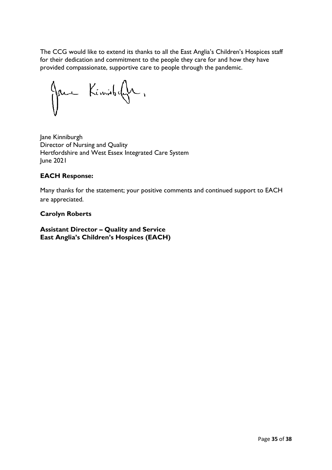The CCG would like to extend its thanks to all the East Anglia's Children's Hospices staff for their dedication and commitment to the people they care for and how they have provided compassionate, supportive care to people through the pandemic.

Jane Kemisbefu,

Jane Kinniburgh Director of Nursing and Quality Hertfordshire and West Essex Integrated Care System June 2021

## **EACH Response:**

Many thanks for the statement; your positive comments and continued support to EACH are appreciated.

## **Carolyn Roberts**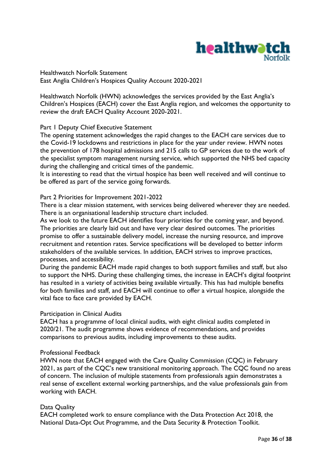

Healthwatch Norfolk Statement East Anglia Children's Hospices Quality Account 2020-2021

Healthwatch Norfolk (HWN) acknowledges the services provided by the East Anglia's Children's Hospices (EACH) cover the East Anglia region, and welcomes the opportunity to review the draft EACH Quality Account 2020-2021.

#### Part 1 Deputy Chief Executive Statement

The opening statement acknowledges the rapid changes to the EACH care services due to the Covid-19 lockdowns and restrictions in place for the year under review. HWN notes the prevention of 178 hospital admissions and 215 calls to GP services due to the work of the specialist symptom management nursing service, which supported the NHS bed capacity during the challenging and critical times of the pandemic.

It is interesting to read that the virtual hospice has been well received and will continue to be offered as part of the service going forwards.

#### Part 2 Priorities for Improvement 2021-2022

There is a clear mission statement, with services being delivered wherever they are needed. There is an organisational leadership structure chart included.

As we look to the future EACH identifies four priorities for the coming year, and beyond. The priorities are clearly laid out and have very clear desired outcomes. The priorities promise to offer a sustainable delivery model, increase the nursing resource, and improve recruitment and retention rates. Service specifications will be developed to better inform stakeholders of the available services. In addition, EACH strives to improve practices, processes, and accessibility.

During the pandemic EACH made rapid changes to both support families and staff, but also to support the NHS. During these challenging times, the increase in EACH's digital footprint has resulted in a variety of activities being available virtually. This has had multiple benefits for both families and staff, and EACH will continue to offer a virtual hospice, alongside the vital face to face care provided by EACH.

#### Participation in Clinical Audits

EACH has a programme of local clinical audits, with eight clinical audits completed in 2020/21. The audit programme shows evidence of recommendations, and provides comparisons to previous audits, including improvements to these audits.

#### Professional Feedback

HWN note that EACH engaged with the Care Quality Commission (CQC) in February 2021, as part of the CQC's new transitional monitoring approach. The CQC found no areas of concern. The inclusion of multiple statements from professionals again demonstrates a real sense of excellent external working partnerships, and the value professionals gain from working with EACH.

#### Data Quality

EACH completed work to ensure compliance with the Data Protection Act 2018, the National Data-Opt Out Programme, and the Data Security & Protection Toolkit.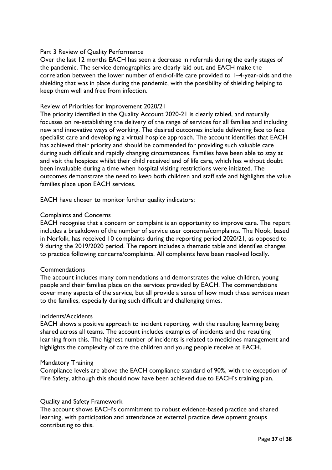#### Part 3 Review of Quality Performance

Over the last 12 months EACH has seen a decrease in referrals during the early stages of the pandemic. The service demographics are clearly laid out, and EACH make the correlation between the lower number of end-of-life care provided to 1–4-year-olds and the shielding that was in place during the pandemic, with the possibility of shielding helping to keep them well and free from infection.

#### Review of Priorities for Improvement 2020/21

The priority identified in the Quality Account 2020-21 is clearly tabled, and naturally focusses on re-establishing the delivery of the range of services for all families and including new and innovative ways of working. The desired outcomes include delivering face to face specialist care and developing a virtual hospice approach. The account identifies that EACH has achieved their priority and should be commended for providing such valuable care during such difficult and rapidly changing circumstances. Families have been able to stay at and visit the hospices whilst their child received end of life care, which has without doubt been invaluable during a time when hospital visiting restrictions were initiated. The outcomes demonstrate the need to keep both children and staff safe and highlights the value families place upon EACH services.

EACH have chosen to monitor further quality indicators:

#### Complaints and Concerns

EACH recognise that a concern or complaint is an opportunity to improve care. The report includes a breakdown of the number of service user concerns/complaints. The Nook, based in Norfolk, has received 10 complaints during the reporting period 2020/21, as opposed to 9 during the 2019/2020 period. The report includes a thematic table and identifies changes to practice following concerns/complaints. All complaints have been resolved locally.

#### **Commendations**

The account includes many commendations and demonstrates the value children, young people and their families place on the services provided by EACH. The commendations cover many aspects of the service, but all provide a sense of how much these services mean to the families, especially during such difficult and challenging times.

#### Incidents/Accidents

EACH shows a positive approach to incident reporting, with the resulting learning being shared across all teams. The account includes examples of incidents and the resulting learning from this. The highest number of incidents is related to medicines management and highlights the complexity of care the children and young people receive at EACH.

#### Mandatory Training

Compliance levels are above the EACH compliance standard of 90%, with the exception of Fire Safety, although this should now have been achieved due to EACH's training plan.

#### Quality and Safety Framework

The account shows EACH's commitment to robust evidence-based practice and shared learning, with participation and attendance at external practice development groups contributing to this.